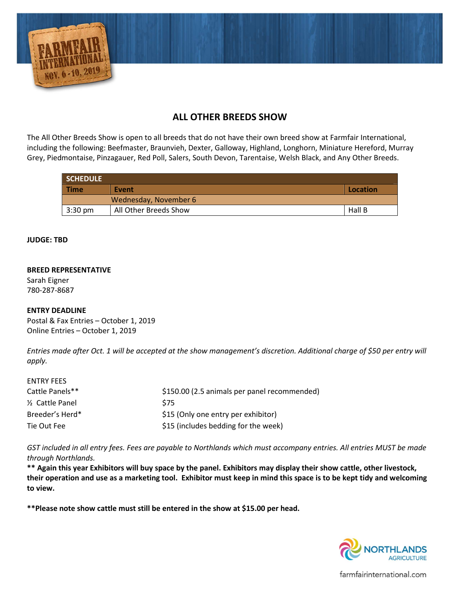

# **ALL OTHER BREEDS SHOW**

The All Other Breeds Show is open to all breeds that do not have their own breed show at Farmfair International, including the following: Beefmaster, Braunvieh, Dexter, Galloway, Highland, Longhorn, Miniature Hereford, Murray Grey, Piedmontaise, Pinzagauer, Red Poll, Salers, South Devon, Tarentaise, Welsh Black, and Any Other Breeds.

| <b>SCHEDULE</b>   |                       |          |  |  |
|-------------------|-----------------------|----------|--|--|
| <b>Time</b>       | Event                 | Location |  |  |
|                   | Wednesday, November 6 |          |  |  |
| $3:30 \text{ pm}$ | All Other Breeds Show | Hall B   |  |  |

#### **JUDGE: TBD**

#### **BREED REPRESENTATIVE**

Sarah Eigner 780-287-8687

### **ENTRY DEADLINE**

Postal & Fax Entries – October 1, 2019 Online Entries – October 1, 2019

*Entries made after Oct. 1 will be accepted at the show management's discretion. Additional charge of \$50 per entry will apply.* 

| <b>ENTRY FEES</b>            |                                              |
|------------------------------|----------------------------------------------|
| Cattle Panels**              | \$150.00 (2.5 animals per panel recommended) |
| 1/ <sub>2</sub> Cattle Panel | <b>S75</b>                                   |
| Breeder's Herd*              | \$15 (Only one entry per exhibitor)          |
| Tie Out Fee                  | \$15 (includes bedding for the week)         |

*GST included in all entry fees. Fees are payable to Northlands which must accompany entries. All entries MUST be made through Northlands.* 

**\*\* Again this year Exhibitors will buy space by the panel. Exhibitors may display their show cattle, other livestock, their operation and use as a marketing tool. Exhibitor must keep in mind this space is to be kept tidy and welcoming to view.** 

**\*\*Please note show cattle must still be entered in the show at \$15.00 per head.**



farmfairinternational.com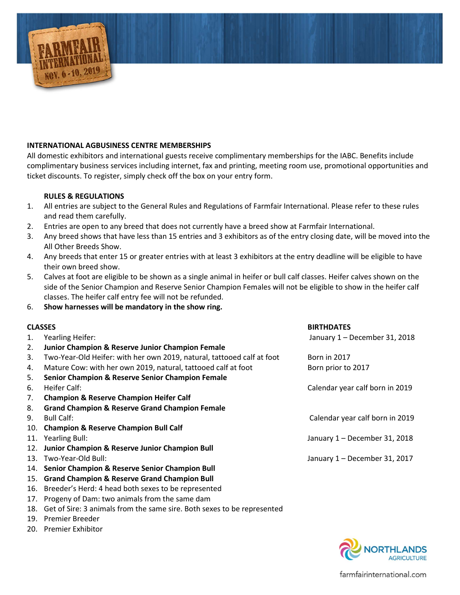

# **INTERNATIONAL AGBUSINESS CENTRE MEMBERSHIPS**

All domestic exhibitors and international guests receive complimentary memberships for the IABC. Benefits include complimentary business services including internet, fax and printing, meeting room use, promotional opportunities and ticket discounts. To register, simply check off the box on your entry form.

# **RULES & REGULATIONS**

- 1. All entries are subject to the General Rules and Regulations of Farmfair International. Please refer to these rules and read them carefully.
- 2. Entries are open to any breed that does not currently have a breed show at Farmfair International.
- 3. Any breed shows that have less than 15 entries and 3 exhibitors as of the entry closing date, will be moved into the All Other Breeds Show.
- 4. Any breeds that enter 15 or greater entries with at least 3 exhibitors at the entry deadline will be eligible to have their own breed show.
- 5. Calves at foot are eligible to be shown as a single animal in heifer or bull calf classes. Heifer calves shown on the side of the Senior Champion and Reserve Senior Champion Females will not be eligible to show in the heifer calf classes. The heifer calf entry fee will not be refunded.
- 6. **Show harnesses will be mandatory in the show ring.**

| <b>CLASSES</b> |                                                                        | <b>BIRTHDATES</b>               |
|----------------|------------------------------------------------------------------------|---------------------------------|
| 1.             | Yearling Heifer:                                                       | January 1 - December 31, 2018   |
| 2.             | <b>Junior Champion &amp; Reserve Junior Champion Female</b>            |                                 |
| 3.             | Two-Year-Old Heifer: with her own 2019, natural, tattooed calf at foot | <b>Born in 2017</b>             |
| 4.             | Mature Cow: with her own 2019, natural, tattooed calf at foot          | Born prior to 2017              |
| 5.             | <b>Senior Champion &amp; Reserve Senior Champion Female</b>            |                                 |
| 6.             | Heifer Calf:                                                           | Calendar year calf born in 2019 |
| 7.             | <b>Champion &amp; Reserve Champion Heifer Calf</b>                     |                                 |
| 8.             | <b>Grand Champion &amp; Reserve Grand Champion Female</b>              |                                 |
| 9.             | Bull Calf:                                                             | Calendar year calf born in 2019 |
|                | 10. Champion & Reserve Champion Bull Calf                              |                                 |
|                | 11. Yearling Bull:                                                     | January 1 - December 31, 2018   |
|                | 12. Junior Champion & Reserve Junior Champion Bull                     |                                 |
| 13.            | Two-Year-Old Bull:                                                     | January 1 - December 31, 2017   |
| 14.            | <b>Senior Champion &amp; Reserve Senior Champion Bull</b>              |                                 |
|                | 15. Grand Champion & Reserve Grand Champion Bull                       |                                 |
|                | 16. Breeder's Herd: 4 head both sexes to be represented                |                                 |

- 17. Progeny of Dam: two animals from the same dam
- 18. Get of Sire: 3 animals from the same sire. Both sexes to be represented
- 19. Premier Breeder
- 20. Premier Exhibitor



farmfairinternational.com